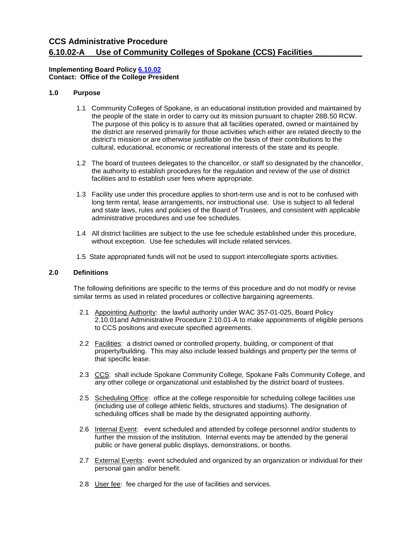# **CCS Administrative Procedure 6.10.02-A Use of Community Colleges of Spokane (CCS) Facilities\_\_\_\_\_\_\_\_\_\_\_**

# **Implementing Board Polic[y 6.10.02](https://ccs.spokane.edu/About-Us/Leadership/Board-of-Trustees/Policies-Procedures/Chapter6#AccWE-2-2)  Contact: Office of the College President**

# **1.0 Purpose**

- the people of the state in order to carry out its mission pursuant to chapter [28B.50](http://app.leg.wa.gov/RCW/default.aspx?cite=28B.50) RCW. The purpose of this policy is to assure that all facilities operated, owned or maintained by 1.1 Community Colleges of Spokane, is an educational institution provided and maintained by the district are reserved primarily for those activities which either are related directly to the district's mission or are otherwise justifiable on the basis of their contributions to the cultural, educational, economic or recreational interests of the state and its people.
- 1.2 The board of trustees delegates to the chancellor, or staff so designated by the chancellor, the authority to establish procedures for the regulation and review of the use of district facilities and to establish user fees where appropriate.
- 1.3 Facility use under this procedure applies to short-term use and is not to be confused with long term rental, lease arrangements, nor instructional use. Use is subject to all federal and state laws, rules and policies of the Board of Trustees, and consistent with applicable administrative procedures and use fee schedules.
- without exception. Use fee schedules will include related services. 1.4 All district facilities are subject to the use fee schedule established under this procedure,
- 1.5 State appropriated funds will not be used to support intercollegiate sports activities.

### **2.0 Definitions**

The following definitions are specific to the terms of this procedure and do not modify or revise similar terms as used in related procedures or collective bargaining agreements.

- 2.1 Appointing Authority: the lawful authority under WAC 357-01-025, Board Policy 2.10.01and Administrative Procedure 2.10.01-A to make appointments of eligible persons to CCS positions and execute specified agreements.
- 2.2 Facilities: a district owned or controlled property, building, or component of that property/building. This may also include leased buildings and property per the terms of that specific lease.
- that specific lease.<br>2.3  <u>CCS</u>: shall include Spokane Community College, Spokane Falls Community College, and any other college or organizational unit established by the district board of trustees.
- 2.5 Scheduling Office: office at the college responsible for scheduling college facilities use (including use of college athletic fields, structures and stadiums). The designation of scheduling offices shall be made by the designated appointing authority.
- public or have general public displays, demonstrations, or booths. 2.6 Internal Event: event scheduled and attended by college personnel and/or students to further the mission of the institution. Internal events may be attended by the general
- public or have general public displays, demonstrations, or booths.<br>2.7 External Events: event scheduled and organized by an organization or individual for their personal gain and/or benefit.
- personal gain and/or benefit.<br>2.8 User fee: fee charged for the use of facilities and services.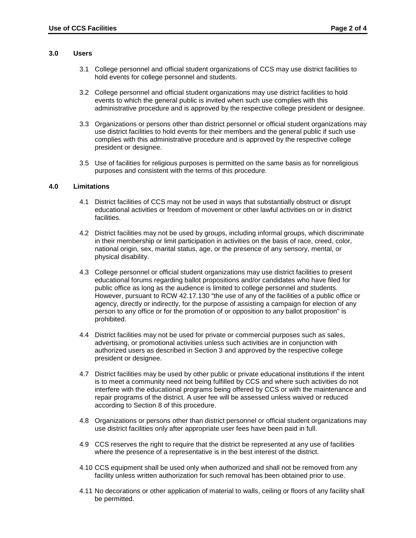#### **3.0 Users**

- 3.1 College personnel and official student organizations of CCS may use district facilities to hold events for college personnel and students.
- events to which the general public is invited when such use complies with this 3.2 College personnel and official student organizations may use district facilities to hold administrative procedure and is approved by the respective college president or designee.
- use district facilities to hold events for their members and the general public if such use 3.3 Organizations or persons other than district personnel or official student organizations may complies with this administrative procedure and is approved by the respective college president or designee.
- 3.5 Use of facilities for religious purposes is permitted on the same basis as for nonreligious purposes and consistent with the terms of this procedure.

#### **4.0 Limitations**

- 4.1 District facilities of CCS may not be used in ways that substantially obstruct or disrupt educational activities or freedom of movement or other lawful activities on or in district facilities.
- 4.2 District facilities may not be used by groups, including informal groups, which discriminate national origin, sex, marital status, age, or the presence of any sensory, mental, or in their membership or limit participation in activities on the basis of race, creed, color, physical disability.
- However, pursuant to RCW [42.17.130](http://app.leg.wa.gov/RCW/default.aspx?cite=42.17.130) "the use of any of the facilities of a public office or 4.3 College personnel or official student organizations may use district facilities to present educational forums regarding ballot propositions and/or candidates who have filed for public office as long as the audience is limited to college personnel and students. agency, directly or indirectly, for the purpose of assisting a campaign for election of any person to any office or for the promotion of or opposition to any ballot proposition" is prohibited.
- president or designee. 4.4 District facilities may not be used for private or commercial purposes such as sales, advertising, or promotional activities unless such activities are in conjunction with authorized users as described in Section 3 and approved by the respective college
- is to meet a community need not being fulfilled by CCS and where such activities do not 4.7 District facilities may be used by other public or private educational institutions if the intent interfere with the educational programs being offered by CCS or with the maintenance and repair programs of the district. A user fee will be assessed unless waived or reduced according to Section 8 of this procedure.
- 4.8 Organizations or persons other than district personnel or official student organizations may use district facilities only after appropriate user fees have been paid in full.
- 4.9 CCS reserves the right to require that the district be represented at any use of facilities where the presence of a representative is in the best interest of the district.
- 4.10 CCS equipment shall be used only when authorized and shall not be removed from any facility unless written authorization for such removal has been obtained prior to use.
- 4.11 No decorations or other application of material to walls, ceiling or floors of any facility shall be permitted.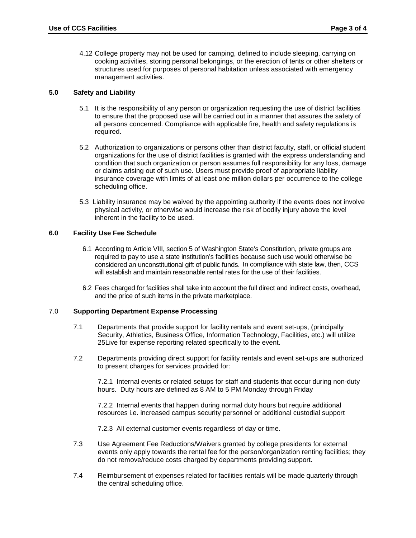4.12 College property may not be used for camping, defined to include sleeping, carrying on cooking activities, storing personal belongings, or the erection of tents or other shelters or structures used for purposes of personal habitation unless associated with emergency management activities.

# **5.0 Safety and Liability**

- 5.1 It is the responsibility of any person or organization requesting the use of district facilities to ensure that the proposed use will be carried out in a manner that assures the safety of all persons concerned. Compliance with applicable fire, health and safety regulations is required.
- 5.2 Authorization to organizations or persons other than district faculty, staff, or official student organizations for the use of district facilities is granted with the express understanding and condition that such organization or person assumes full responsibility for any loss, damage or claims arising out of such use. Users must provide proof of appropriate liability insurance coverage with limits of at least one million dollars per occurrence to the college scheduling office.
- physical activity, or otherwise would increase the risk of bodily injury above the level 5.3 Liability insurance may be waived by the appointing authority if the events does not involve inherent in the facility to be used.

# **6.0 Facility Use Fee Schedule**

- 6.1 According to Article VIII, section 5 of Washington State's Constitution, private groups are will establish and maintain reasonable rental rates for the use of their facilities. required to pay to use a state institution's facilities because such use would otherwise be considered an unconstitutional gift of public funds. In compliance with state law, then, CCS
- 6.2 Fees charged for facilities shall take into account the full direct and indirect costs, overhead, and the price of such items in the private marketplace.

# 7.0 **Supporting Department Expense Processing**

- 7.1 Departments that provide support for facility rentals and event set-ups, (principally Security, Athletics, Business Office, Information Technology, Facilities, etc.) will utilize 25Live for expense reporting related specifically to the event.
- 7.2 Departments providing direct support for facility rentals and event set-ups are authorized to present charges for services provided for:

7.2.1 Internal events or related setups for staff and students that occur during non-duty hours. Duty hours are defined as 8 AM to 5 PM Monday through Friday

 resources i.e. increased campus security personnel or additional custodial support 7.2.2 Internal events that happen during normal duty hours but require additional

7.2.3 All external customer events regardless of day or time.

- 7.3 Use Agreement Fee Reductions/Waivers granted by college presidents for external events only apply towards the rental fee for the person/organization renting facilities; they do not remove/reduce costs charged by departments providing support.
- 7.4 Reimbursement of expenses related for facilities rentals will be made quarterly through the central scheduling office.